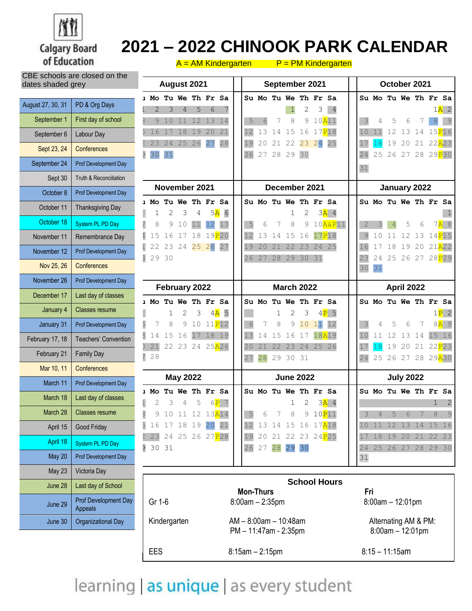

CBE schools are closed on the

June 30 | Organizational Day

## **2021 – 2022 CHINOOK PARK CALENDAR**

| ODL SCHOODS ALE CROSED OIL LITE<br>dates shaded grey |                                 | August 2021<br>September 2021                                                                                        |          |                        |          | October 2021     |                                    |  |
|------------------------------------------------------|---------------------------------|----------------------------------------------------------------------------------------------------------------------|----------|------------------------|----------|------------------|------------------------------------|--|
| August 27, 30, 31                                    | PD & Org Days                   | Tu We Th Fr Sa<br>Su Mo Tu We Th Fr Sa<br>ı Mo                                                                       |          | Su Mo Tu We Th I       |          |                  |                                    |  |
| September 1                                          | First day of school             | 3<br>5<br>6<br>2<br>$\overline{4}$<br>2<br>3<br>10A11<br>12 13 14<br>9<br>10<br>11<br>5<br>8<br>9<br>6               | 3        | 4                      | 5        | 6                | 7                                  |  |
| September 6                                          | Labour Day                      | 20<br>21<br>13<br>15<br>16<br>17P18<br>16<br>18<br>19<br>14<br>17                                                    | 10       | 11                     | 12       | 13               | 14                                 |  |
| Sept 23, 24                                          | Conferences                     | 26<br>27<br>28<br>19<br>21 22<br>23 24 25<br>24<br>25<br>20<br>23                                                    | 17       | 18                     | 19       | 20               | 21 <sub>2</sub>                    |  |
| September 24                                         | Prof Development Day            | $\overline{3}$<br>31<br>28 29<br>30<br>30<br>26<br>27                                                                | 24<br>31 | 25                     | 26       | 27               | 28 <sub>2</sub>                    |  |
| Sept 30                                              | Truth & Reconciliation          |                                                                                                                      |          |                        |          |                  |                                    |  |
| October 8                                            | Prof Development Day            | November 2021<br>December 2021                                                                                       |          |                        |          | January 2022     |                                    |  |
| October 11                                           | <b>Thanksgiving Day</b>         | Tu We Th Fr Sa<br>Su Mo Tu We Th Fr Sa<br>Mo<br>2<br>3                                                               |          | Su Mo Tu We Th I       |          |                  |                                    |  |
| October 18                                           | System PL PD Day                | 5A<br>6<br>$3\overline{A}$ 4<br>2<br>4<br>1<br>12<br>13<br>$10A\&P11$<br>8<br>5<br>9<br>9<br>10<br>11<br>6<br>8<br>7 |          |                        |          | 5                | 6                                  |  |
| November 11                                          | Remembrance Day                 | 17P18<br>19P20<br>12<br>18<br>13<br>15<br>5<br>16<br>17<br>14<br>16                                                  | $\circ$  | $\Omega$               |          | 12               | 13 <sup>1</sup>                    |  |
| November 12                                          | Prof Development Day            | 26<br>27<br>25<br>22<br>23<br>24<br>25<br>19<br>20<br>21<br>22<br>23<br>24                                           | 16       | 17                     | 18       | 9<br>1           | 20                                 |  |
| Nov 25, 26                                           | <b>Conferences</b>              | $\overline{3}$<br>29 30<br>27<br>28<br>29<br>30<br>31<br>26                                                          | 23<br>30 | 24<br>31               | 25       | 26               | 27 <sub>2</sub>                    |  |
| November 26                                          | Prof Development Day            |                                                                                                                      |          |                        |          |                  |                                    |  |
| December 17                                          | Last day of classes             | February 2022<br><b>March 2022</b>                                                                                   |          |                        |          | April 2022       |                                    |  |
| January 4                                            | <b>Classes resume</b>           | 1 Mo Tu We Th Fr Sa<br>Tu We Th Fr Sa<br>Su Mo<br>5<br>3<br>4A<br>3<br>2<br>2<br>$4P$ 5<br>1                         |          | Su Mo Tu We Th I       |          |                  |                                    |  |
| January 31                                           | Prof Development Day            | 10 11 P12<br>11<br>12<br>6<br>8<br>9<br>10<br>8<br>9<br>7                                                            | 3        | 4                      | 5        | 6                |                                    |  |
| February 17, 18                                      | Teachers' Convention            | 18 19<br>18A19<br>15<br>16<br>17<br>13<br>15<br>16<br>17<br>14<br>14                                                 | 10       | 11                     | 12       | 13               | 14                                 |  |
| February 21                                          | <b>Family Day</b>               | 22 23 24 25A26<br>21<br>20<br>21<br>22<br>23<br>24<br>25 26<br>$\overline{7}$<br>28<br>28<br>29<br>30<br>27<br>31    | 17<br>24 | 25                     | 19<br>26 | 20<br>27         | 21 <sup>2</sup><br>28 <sub>2</sub> |  |
| Mar 10, 11                                           | Conferences                     |                                                                                                                      |          |                        |          |                  |                                    |  |
| March 11                                             | Prof Development Day            | <b>May 2022</b><br><b>June 2022</b>                                                                                  |          |                        |          | <b>July 2022</b> |                                    |  |
| March 18                                             | Last day of classes             | Tu We Th Fr Sa<br>Tu We Th Fr Sa<br>Su Mo<br>Mo<br>$3\overline{A}$ 4<br>3<br>5<br>2<br>6P 7<br>1                     |          | Su Mo Tu We Th I       |          |                  |                                    |  |
| March 28                                             | <b>Classes resume</b>           | $\overline{3}$<br>5<br>12 13A14<br>10P11<br>11<br>6<br>7<br>8<br>9<br>9<br>10                                        | 3        | $\overline{4}$         | 5        | 6                | 7                                  |  |
| April 15                                             | Good Friday                     | $\bar{5}$<br>16<br>17 18 19 20 21<br>13 14 15 16 17A18                                                               | $10$     | 11                     | 12       | 13               | $14$ $\overline{\phantom{0}}$      |  |
| April 18                                             | System PL PD Day                | 23 24 25 26 27 P28<br>21 22 23 24 P25<br>20<br>19<br>$\overline{z}$<br>26 27 28 29 30<br>30 31                       | 17       | 18<br>24 25 26 27 28 2 | 19       | 20               | 21 <sup>2</sup>                    |  |
| May 20                                               | Prof Development Day            |                                                                                                                      | 31       |                        |          |                  |                                    |  |
| May 23                                               | Victoria Day                    |                                                                                                                      |          |                        |          |                  |                                    |  |
| June 28                                              | Last day of School              | <b>School Hours</b><br><b>Mon-Thurs</b>                                                                              |          | Fri                    |          |                  |                                    |  |
| June 29                                              | Prof Development Day<br>Appeals | Gr 1-6<br>$8:00am - 2:35pm$                                                                                          |          | $8:00am - 12:01pm$     |          |                  |                                    |  |

**Su Mo Tu We Th Fr Sa** 

|              | <b>School Hours</b>                                |                                            |  |  |  |  |
|--------------|----------------------------------------------------|--------------------------------------------|--|--|--|--|
| Gr 1-6       | <b>Mon-Thurs</b><br>$8:00am - 2:35pm$              | Fri<br>$8:00am - 12:01pm$                  |  |  |  |  |
| Kindergarten | $AM - 8:00am - 10:48am$<br>$PM - 11:47am - 2:35pm$ | Alternating AM & PM:<br>$8:00am - 12:01pm$ |  |  |  |  |
| EES          | $8:15am - 2:15pm$                                  | $8:15 - 11:15$ am                          |  |  |  |  |

# learning as unique as every student